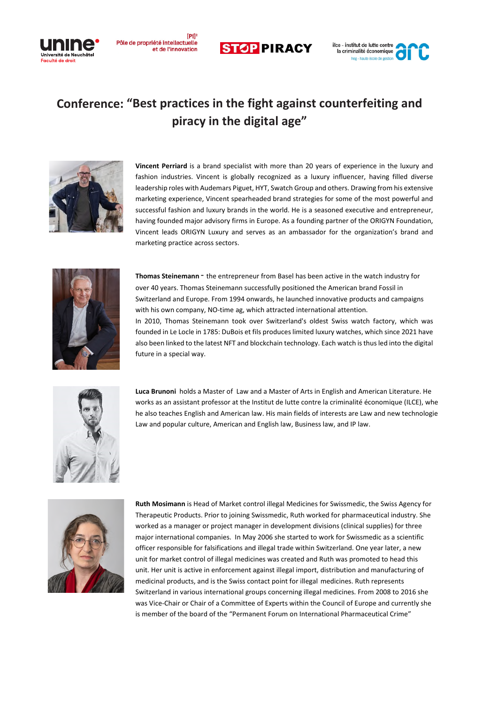





## **Conference: "Best practices in the fight against counterfeiting and piracy in the digital age"**



**Vincent Perriard** is a brand specialist with more than 20 years of experience in the luxury and fashion industries. Vincent is globally recognized as a luxury influencer, having filled diverse leadership roles with Audemars Piguet, HYT, Swatch Group and others. Drawing from his extensive marketing experience, Vincent spearheaded brand strategies for some of the most powerful and successful fashion and luxury brands in the world. He is a seasoned executive and entrepreneur, having founded major advisory firms in Europe. As a founding partner of the ORIGYN Foundation, Vincent leads ORIGYN Luxury and serves as an ambassador for the organization's brand and marketing practice across sectors.



**Thomas Steinemann** - the entrepreneur from Basel has been active in the watch industry for over 40 years. Thomas Steinemann successfully positioned the American brand Fossil in Switzerland and Europe. From 1994 onwards, he launched innovative products and campaigns with his own company, NO-time ag, which attracted international attention. In 2010, Thomas Steinemann took over Switzerland's oldest Swiss watch factory, which was

founded in Le Locle in 1785: DuBois et fils produces limited luxury watches, which since 2021 have also been linked to the latest NFT and blockchain technology. Each watch is thus led into the digital future in a special way.



**Luca Brunoni** holds a Master of Law and a Master of Arts in English and American Literature. He works as an assistant professor at the Institut de lutte contre la criminalité économique (ILCE), whe he also teaches English and American law. His main fields of interests are Law and new technologie Law and popular culture, American and English law, Business law, and IP law.



**Ruth Mosimann** is Head of Market control illegal Medicines for Swissmedic, the Swiss Agency for Therapeutic Products. Prior to joining Swissmedic, Ruth worked for pharmaceutical industry. She worked as a manager or project manager in development divisions (clinical supplies) for three major international companies. In May 2006 she started to work for Swissmedic as a scientific officer responsible for falsifications and illegal trade within Switzerland. One year later, a new unit for market control of illegal medicines was created and Ruth was promoted to head this unit. Her unit is active in enforcement against illegal import, distribution and manufacturing of medicinal products, and is the Swiss contact point for illegal medicines. Ruth represents Switzerland in various international groups concerning illegal medicines. From 2008 to 2016 she was Vice-Chair or Chair of a Committee of Experts within the Council of Europe and currently she is member of the board of the "Permanent Forum on International Pharmaceutical Crime"